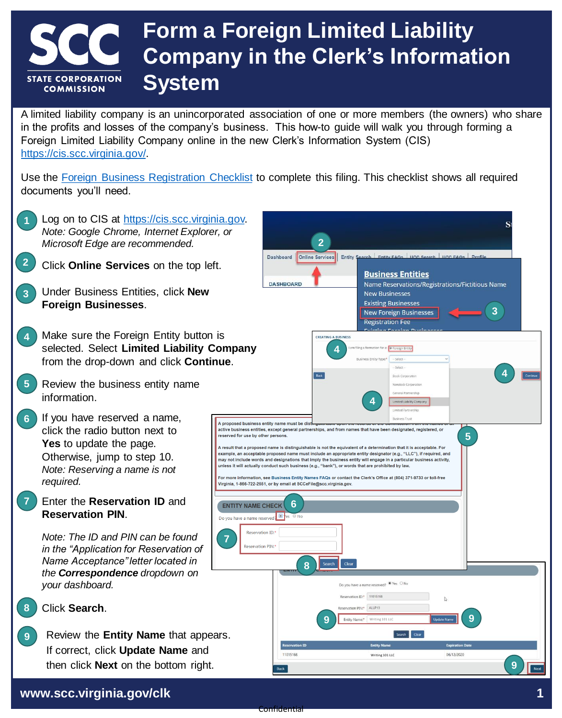### **Form a Foreign Limited Liability Company in the Clerk's Information STATE CORPORATION System COMMISSION**

A limited liability company is an unincorporated association of one or more members (the owners) who share in the profits and losses of the company's business. This how-to guide will walk you through forming a Foreign Limited Liability Company online in the new Clerk's Information System (CIS) [https://cis.scc.virginia.gov/.](https://cis.scc.virginia.gov/)

Use the [Foreign Business Registration Checklist](https://scc.virginia.gov/getattachment/a701644b-a413-4b15-b5b5-5c13003e9ad0/Foreign-Registration-Checklist.pdf) to complete this filing. This checklist shows all required documents you'll need.

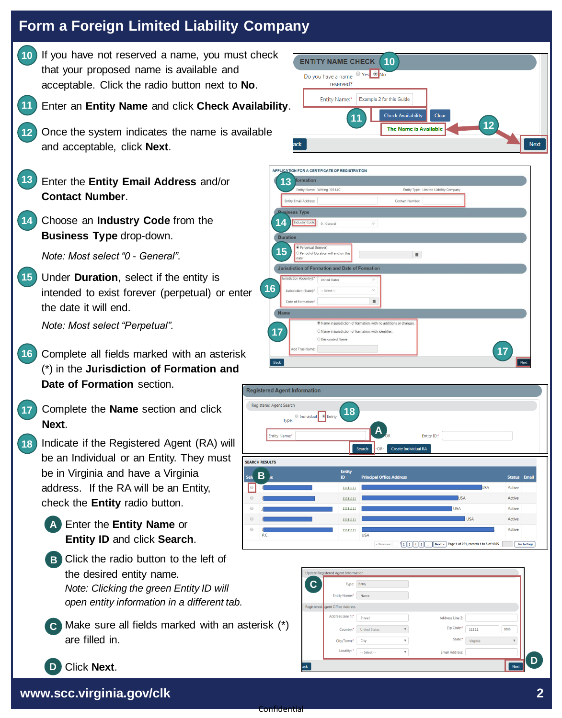10 If you have not reserved a name, you must check that your proposed name is available and acceptable. Click the radio button next to **No**. Enter an **Entity Name** and click **Check Availability**. Once the system indicates the name is available and acceptable, click **Next**. Enter the **Entity Email Address** and/or **13 Contact Number**. **11** 14 Choose an **Industry Code** from the **Business Type** drop-down. *Note: Most select "0 - General".* **12** Under **Duration**, select if the entity is **15** intended to exist forever (perpetual) or enter the date it will end. *Note: Most select "Perpetual".* 16 Complete all fields marked with an asterisk (\*) in the **Jurisdiction of Formation and Date of Formation** section. Complete the **Name** section and click **Next**. **17 A** Enter the **Entity Name** or **B** Click the radio button to the left of **C** Make sure all fields marked with an asterisk (\*) 18) Indicate if the Registered Agent (RA) will be an Individual or an Entity. They must be in Virginia and have a Virginia address. If the RA will be an Entity, check the **Entity** radio button. the desired entity name. *Note: Clicking the green Entity ID will open entity information in a different tab.* are filled in. **Entity ID** and click **Search**. **B 13 14 15 16 17**



| 13                                 | Entity Name: Writing 101 LLC                                     |                 | Entity Type: Limited Liability Company |  |
|------------------------------------|------------------------------------------------------------------|-----------------|----------------------------------------|--|
| Entity Email Address:              |                                                                  | Contact Number: |                                        |  |
| <b>Business Type</b>               |                                                                  |                 |                                        |  |
| Industry Code:<br>14               | 0 - General                                                      | Ŷ.              |                                        |  |
|                                    |                                                                  |                 |                                        |  |
| <b>Duration</b>                    |                                                                  |                 |                                        |  |
| Perpetual (forever)<br>15          | O Period of Duration will end on this                            | $\equiv$        |                                        |  |
| date:                              |                                                                  |                 |                                        |  |
|                                    | <b>Jurisdiction of Formation and Date of Formation</b>           |                 |                                        |  |
| Jurisdiction (Country):*           | United States                                                    | $\checkmark$    |                                        |  |
| Jurisdiction (State): <sup>*</sup> | -- Select --                                                     | $\vee$          |                                        |  |
|                                    |                                                                  | 韻               |                                        |  |
| Date of Formation:*                |                                                                  |                 |                                        |  |
| <b>Name</b>                        |                                                                  |                 |                                        |  |
|                                    | Name in jurisdiction of formation, with no additions or changes. |                 |                                        |  |
|                                    | O Name in jurisdiction of formation, with identifier.            |                 |                                        |  |
| 17                                 | O Designated Name                                                |                 |                                        |  |

| <b>Registered Agent Search</b> |                             |                                          |                      |
|--------------------------------|-----------------------------|------------------------------------------|----------------------|
| Type:                          | 18<br>● Individual ● Entity |                                          |                      |
| Entity Name:*                  |                             | A<br>Entity ID:*<br>ÒR                   |                      |
|                                |                             | Create Individual RA<br>Search<br>$-OR-$ |                      |
| <b>SEARCH RESULTS</b>          |                             |                                          |                      |
|                                | <b>Entity</b>               |                                          |                      |
| В                              | ID                          | <b>Principal Office Address</b>          | <b>Status Email</b>  |
|                                |                             |                                          |                      |
|                                | 11111111                    |                                          | <b>USA</b><br>Active |
| Sek<br>⊜<br>$\odot$            | 11111111                    | <b>USA</b>                               | Active               |
| $\odot$                        | 11111111                    | <b>USA</b>                               | Active               |
| $\circledcirc$                 | 11111111                    | <b>USA</b>                               | Active               |

| $\mathbf c$ | Type:                           | Entity               |                         |                       |          |      |
|-------------|---------------------------------|----------------------|-------------------------|-----------------------|----------|------|
|             | Entity Name:*                   | Name                 |                         |                       |          |      |
|             | Registered agent Office Address |                      |                         |                       |          |      |
|             | Address Line 1:*                | Street               |                         | Address Line 2:       |          |      |
|             | Country: <sup>*</sup>           | <b>United States</b> | $\overline{\mathbf{v}}$ | Zip Code:*            | 11111    | 0000 |
|             | City/Town:*                     | City                 | $\mathbf{v}$            | State:*               | Virginia |      |
|             | Locality: *                     | -- Select --         | $\overline{\mathbf{v}}$ | <b>Email Address:</b> |          |      |

**www.scc.virginia.gov/clk 2**

Click **Next**.

**D**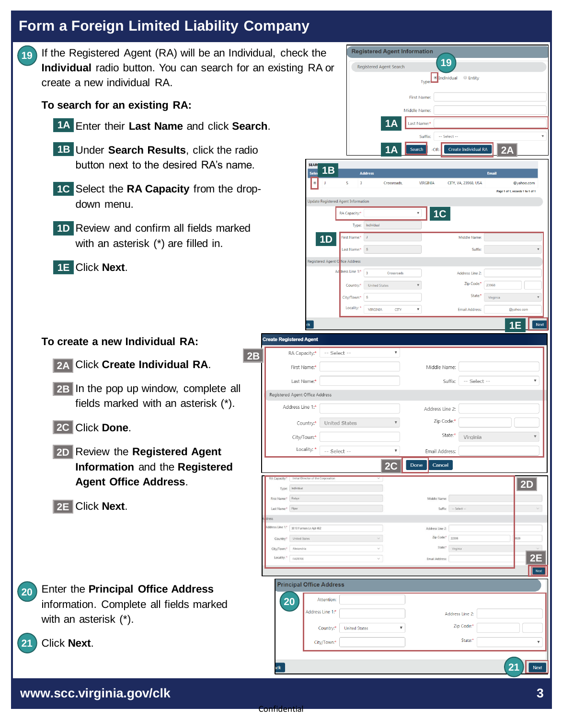If the Registered Agent (RA) will be an Individual, check the **Individual** radio button. You can search for an existing RA or create a new individual RA. **19**

**To search for an existing RA:**

- Enter their **Last Name** and click **Search**. **1A**
- Under **Search Results**, click the radio **1B** button next to the desired RA's name.
- 1C Select the RA Capacity from the dropdown menu.
- 1D Review and confirm all fields marked with an asterisk (\*) are filled in.
- Click **Next**. **1E**

| To create a new Individual RA: | <b>Create Red</b>                |
|--------------------------------|----------------------------------|
|                                | $\overline{2}$ 2R $\overline{1}$ |

- Click **Create Individual RA**. **2A**
- 2B In the pop up window, complete all fields marked with an asterisk (\*).
- Click **Done**. **2C**
- Review the **Registered Agent 2D Information** and the **Registered Agent Office Address**.
- Click **Next**. **2E**
- Enter the **Principal Office Address**  information. Complete all fields marked with an asterisk (\*). **20**



**19**

**Registered Agent Information** 

Registered Agent Search



ick

**2B**

Next

**21**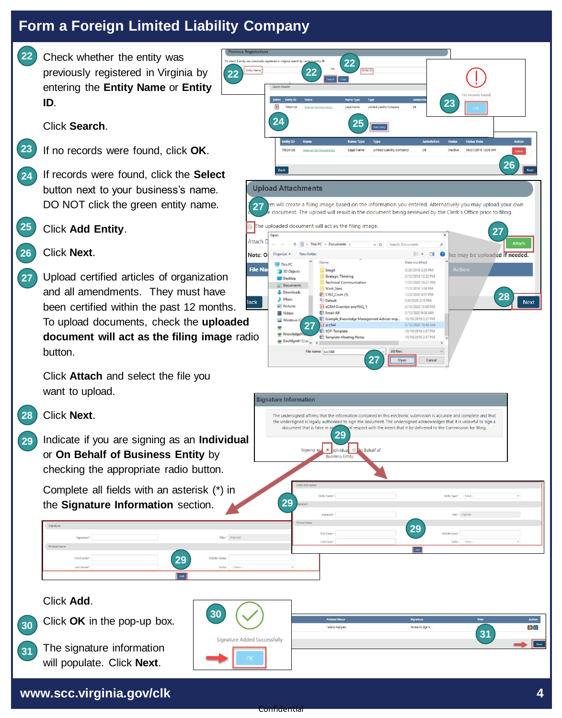**22**

**23**

Check whether the entity was previously registered in Virginia by entering the **Entity Name** or **Entity ID**.

Click **Search**.

- If no records were found, click **OK**.
- If records were found, click the **Select** button next to your business's name. DO NOT click the green entity name. **24**
- Click **Add Entity**. **25**

**27**

#### Click **Next**. **26**

Upload certified articles of organization and all amendments. They must have been certified within the past 12 months. To upload documents, check the **uploaded document will act as the filing image** radio button.

Click **Attach** and select the file you want to upload.

### Click **Next**. **28**

Indicate if you are signing as an **Individual** or **On Behalf of Business Entity** by checking the appropriate radio button. **29**

Complete all fields with an asterisk (\*) in the **Signature Information** section.



### Click **Add**.

**31**



The signature information will populate. Click **Next**.

| 30 <sub>1</sub>              | <b>Printed Name</b> | Signabure      | Title | Action |
|------------------------------|---------------------|----------------|-------|--------|
|                              | Teresa Hudgins      | Teresa Hudgins |       | 國自     |
| Signature Added Successfully |                     |                | 31    |        |